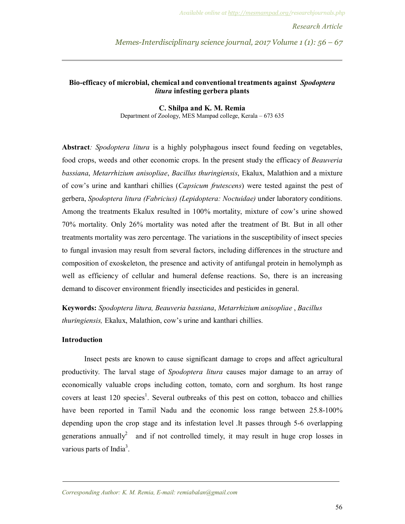*Research Article* 

*Memes-Interdisciplinary science journal, 2017 Volume 1 (1): 56 – 67*

## **Bio-efficacy of microbial, chemical and conventional treatments against** *Spodoptera litura* **infesting gerbera plants**

## **C. Shilpa and K. M. Remia**

Department of Zoology, MES Mampad college, Kerala – 673 635

**Abstract***: Spodoptera litura* is a highly polyphagous insect found feeding on vegetables, food crops, weeds and other economic crops. In the present study the efficacy of *Beauveria bassiana*, *Metarrhizium anisopliae*, *Bacillus thuringiensis*, Ekalux, Malathion and a mixture of cow's urine and kanthari chillies (*Capsicum frutescens*) were tested against the pest of gerbera, *Spodoptera litura (Fabricius) (Lepidoptera: Noctuidae)* under laboratory conditions. Among the treatments Ekalux resulted in 100% mortality, mixture of cow's urine showed 70% mortality. Only 26% mortality was noted after the treatment of Bt. But in all other treatments mortality was zero percentage. The variations in the susceptibility of insect species to fungal invasion may result from several factors, including differences in the structure and composition of exoskeleton, the presence and activity of antifungal protein in hemolymph as well as efficiency of cellular and humeral defense reactions. So, there is an increasing demand to discover environment friendly insecticides and pesticides in general.

**Keywords:** *Spodoptera litura, Beauveria bassiana*, *Metarrhizium anisopliae* , *Bacillus thuringiensis,* Ekalux, Malathion, cow's urine and kanthari chillies.

## **Introduction**

Insect pests are known to cause significant damage to crops and affect agricultural productivity. The larval stage of *Spodoptera litura* causes major damage to an array of economically valuable crops including cotton, tomato, corn and sorghum. Its host range covers at least 120 species<sup>1</sup>. Several outbreaks of this pest on cotton, tobacco and chillies have been reported in Tamil Nadu and the economic loss range between 25.8-100% depending upon the crop stage and its infestation level .It passes through 5-6 overlapping generations annually<sup>2</sup> and if not controlled timely, it may result in huge crop losses in various parts of India<sup>3</sup>.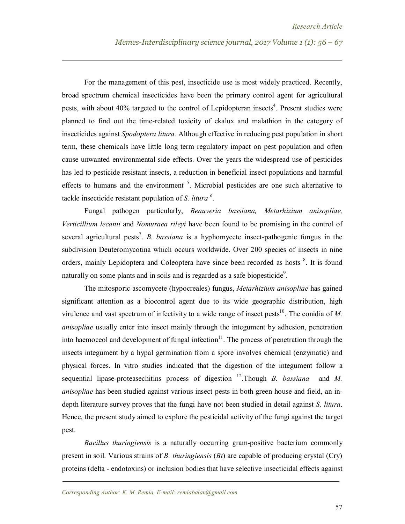For the management of this pest, insecticide use is most widely practiced. Recently, broad spectrum chemical insecticides have been the primary control agent for agricultural pests, with about 40% targeted to the control of Lepidopteran insects<sup>4</sup>. Present studies were planned to find out the time-related toxicity of ekalux and malathion in the category of insecticides against *Spodoptera litura.* Although effective in reducing pest population in short term, these chemicals have little long term regulatory impact on pest population and often cause unwanted environmental side effects. Over the years the widespread use of pesticides has led to pesticide resistant insects, a reduction in beneficial insect populations and harmful effects to humans and the environment <sup>5</sup>. Microbial pesticides are one such alternative to tackle insecticide resistant population of *S. litura <sup>6</sup>* .

Fungal pathogen particularly, *Beauveria bassiana, Metarhizium anisopliae, Verticillium lecanii* and *Nomuraea rileyi* have been found to be promising in the control of several agricultural pests<sup>7</sup>. *B. bassiana* is a hyphomycete insect-pathogenic fungus in the subdivision Deuteromycotina which occurs worldwide. Over 200 species of insects in nine orders, mainly Lepidoptera and Coleoptera have since been recorded as hosts <sup>8</sup>. It is found naturally on some plants and in soils and is regarded as a safe biopesticide<sup>9</sup>.

The mitosporic ascomycete (hypocreales) fungus, *Metarhizium anisopliae* has gained significant attention as a biocontrol agent due to its wide geographic distribution, high virulence and vast spectrum of infectivity to a wide range of insect pests<sup>10</sup>. The conidia of  $M$ . *anisopliae* usually enter into insect mainly through the integument by adhesion, penetration into haemoceol and development of fungal infection $11$ . The process of penetration through the insects integument by a hypal germination from a spore involves chemical (enzymatic) and physical forces. In vitro studies indicated that the digestion of the integument follow a sequential lipase-proteasechitins process of digestion  $^{12}$ . Though *B. bassiana* and *M. anisopliae* has been studied against various insect pests in both green house and field, an indepth literature survey proves that the fungi have not been studied in detail against *S. litura*. Hence, the present study aimed to explore the pesticidal activity of the fungi against the target pest.

*Bacillus thuringiensis* is a naturally occurring gram-positive bacterium commonly present in soil. Various strains of *B. thuringiensis* (*Bt*) are capable of producing crystal (Cry) proteins (delta - endotoxins) or inclusion bodies that have selective insecticidal effects against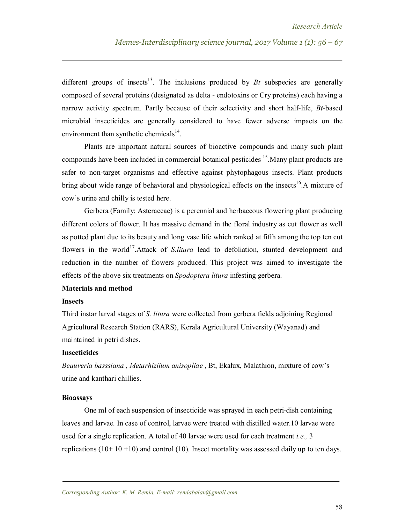different groups of insects<sup>13</sup>. The inclusions produced by  $Bt$  subspecies are generally composed of several proteins (designated as delta - endotoxins or Cry proteins) each having a narrow activity spectrum. Partly because of their selectivity and short half-life, *Bt*-based microbial insecticides are generally considered to have fewer adverse impacts on the environment than synthetic chemicals $14$ .

Plants are important natural sources of bioactive compounds and many such plant compounds have been included in commercial botanical pesticides <sup>15</sup>. Many plant products are safer to non-target organisms and effective against phytophagous insects. Plant products bring about wide range of behavioral and physiological effects on the insects<sup>16</sup>.A mixture of cow's urine and chilly is tested here.

Gerbera (Family: Asteraceae) is a perennial and herbaceous flowering plant producing different colors of flower. It has massive demand in the floral industry as cut flower as well as potted plant due to its beauty and long vase life which ranked at fifth among the top ten cut flowers in the world<sup>17</sup>.Attack of *S.litura* lead to defoliation, stunted development and reduction in the number of flowers produced. This project was aimed to investigate the effects of the above six treatments on *Spodoptera litura* infesting gerbera.

### **Materials and method**

#### **Insects**

Third instar larval stages of *S. litura* were collected from gerbera fields adjoining Regional Agricultural Research Station (RARS), Kerala Agricultural University (Wayanad) and maintained in petri dishes.

## **Insecticides**

*Beauveria basssiana* , *Metarhiziium anisopliae* , Bt, Ekalux, Malathion, mixture of cow's urine and kanthari chillies.

#### **Bioassays**

One ml of each suspension of insecticide was sprayed in each petri-dish containing leaves and larvae. In case of control, larvae were treated with distilled water.10 larvae were used for a single replication. A total of 40 larvae were used for each treatment *i.e.,* 3 replications  $(10+10+10)$  and control  $(10)$ . Insect mortality was assessed daily up to ten days.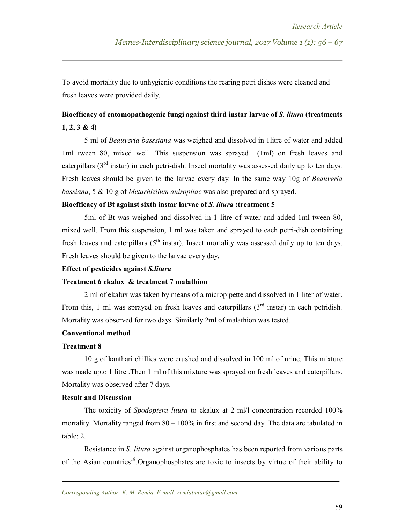To avoid mortality due to unhygienic conditions the rearing petri dishes were cleaned and fresh leaves were provided daily.

# **Bioefficacy of entomopathogenic fungi against third instar larvae of** *S. litura* **(treatments 1, 2, 3 & 4)**

5 ml of *Beauveria basssiana* was weighed and dissolved in 1litre of water and added 1ml tween 80, mixed well .This suspension was sprayed (1ml) on fresh leaves and caterpillars  $3<sup>rd</sup>$  instar) in each petri-dish. Insect mortality was assessed daily up to ten days. Fresh leaves should be given to the larvae every day. In the same way 10g of *Beauveria bassiana*, 5 & 10 g of *Metarhiziium anisopliae* was also prepared and sprayed.

## **Bioefficacy of Bt against sixth instar larvae of** *S. litura* **:treatment 5**

5ml of Bt was weighed and dissolved in 1 litre of water and added 1ml tween 80, mixed well. From this suspension, 1 ml was taken and sprayed to each petri-dish containing fresh leaves and caterpillars  $(5<sup>th</sup> instar)$ . Insect mortality was assessed daily up to ten days. Fresh leaves should be given to the larvae every day.

## **Effect of pesticides against** *S.litura*

## **Treatment 6 ekalux & treatment 7 malathion**

2 ml of ekalux was taken by means of a micropipette and dissolved in 1 liter of water. From this, 1 ml was sprayed on fresh leaves and caterpillars  $3<sup>rd</sup>$  instar) in each petridish. Mortality was observed for two days. Similarly 2ml of malathion was tested.

## **Conventional method**

## **Treatment 8**

10 g of kanthari chillies were crushed and dissolved in 100 ml of urine. This mixture was made upto 1 litre. Then 1 ml of this mixture was sprayed on fresh leaves and caterpillars. Mortality was observed after 7 days.

## **Result and Discussion**

The toxicity of *Spodoptera litura* to ekalux at 2 ml/l concentration recorded 100% mortality. Mortality ranged from  $80 - 100\%$  in first and second day. The data are tabulated in table: 2.

Resistance in *S. litura* against organophosphates has been reported from various parts of the Asian countries<sup>18</sup>. Organophosphates are toxic to insects by virtue of their ability to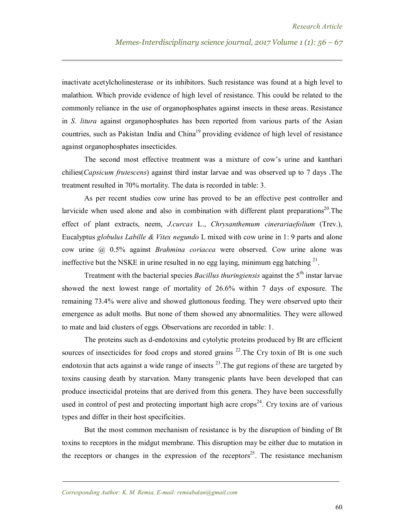inactivate acetylcholinesterase or its inhibitors. Such resistance was found at a high level to malathion. Which provide evidence of high level of resistance. This could be related to the commonly reliance in the use of organophosphates against insects in these areas. Resistance in *S. litura* against organophosphates has been reported from various parts of the Asian countries, such as Pakistan India and  $China<sup>19</sup>$  providing evidence of high level of resistance against organophosphates insecticides.

The second most effective treatment was a mixture of cow's urine and kanthari chilies(*Capsicum frutescens*) against third instar larvae and was observed up to 7 days .The treatment resulted in 70% mortality. The data is recorded in table: 3.

As per recent studies cow urine has proved to be an effective pest controller and larvicide when used alone and also in combination with different plant preparations<sup>20</sup>. The effect of plant extracts, neem, *J.curcas* L., *Chrysanthemum cinerariaefolium* (Trev.), Eucalyptus *globulus Labille & Vitex negundo* L mixed with cow urine in 1: 9 parts and alone cow urine @ 0.5% against *Brahmina coriacea* were observed. Cow urine alone was ineffective but the NSKE in urine resulted in no egg laying, minimum egg hatching  $2<sup>1</sup>$ .

Treatment with the bacterial species *Bacillus thuringiensis* against the 5th instar larvae showed the next lowest range of mortality of 26.6% within 7 days of exposure. The remaining 73.4% were alive and showed gluttonous feeding. They were observed upto their emergence as adult moths. But none of them showed any abnormalities. They were allowed to mate and laid clusters of eggs. Observations are recorded in table: 1.

The proteins such as d-endotoxins and cytolytic proteins produced by Bt are efficient sources of insecticides for food crops and stored grains  $^{22}$ . The Cry toxin of Bt is one such endotoxin that acts against a wide range of insects  $^{23}$ . The gut regions of these are targeted by toxins causing death by starvation. Many transgenic plants have been developed that can produce insecticidal proteins that are derived from this genera. They have been successfully used in control of pest and protecting important high acre  $\text{crops}^{24}$ . Cry toxins are of various types and differ in their host specificities.

But the most common mechanism of resistance is by the disruption of binding of Bt toxins to receptors in the midgut membrane. This disruption may be either due to mutation in the receptors or changes in the expression of the receptors<sup>25</sup>. The resistance mechanism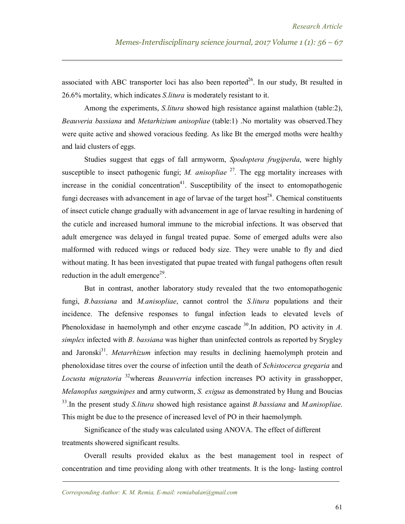associated with ABC transporter loci has also been reported<sup>26</sup>. In our study, Bt resulted in 26.6% mortality, which indicates *S.litura* is moderately resistant to it.

Among the experiments, *S.litura* showed high resistance against malathion (table:2), *Beauveria bassiana* and *Metarhizium anisopliae* (table:1) .No mortality was observed.They were quite active and showed voracious feeding. As like Bt the emerged moths were healthy and laid clusters of eggs.

Studies suggest that eggs of fall armyworm, *Spodoptera frugiperda*, were highly susceptible to insect pathogenic fungi; *M. anisopliae*  $27$ . The egg mortality increases with increase in the conidial concentration<sup>41</sup>. Susceptibility of the insect to entomopathogenic fungi decreases with advancement in age of larvae of the target host<sup>28</sup>. Chemical constituents of insect cuticle change gradually with advancement in age of larvae resulting in hardening of the cuticle and increased humoral immune to the microbial infections. It was observed that adult emergence was delayed in fungal treated pupae. Some of emerged adults were also malformed with reduced wings or reduced body size. They were unable to fly and died without mating. It has been investigated that pupae treated with fungal pathogens often result reduction in the adult emergence<sup>29</sup>.

But in contrast, another laboratory study revealed that the two entomopathogenic fungi, *B.bassiana* and *M.anisopliae*, cannot control the *S.litura* populations and their incidence. The defensive responses to fungal infection leads to elevated levels of Phenoloxidase in haemolymph and other enzyme cascade  $30$ . In addition, PO activity in *A*. *simplex* infected with *B. bassiana* was higher than uninfected controls as reported by Srygley and Jaronski<sup>31</sup>. *Metarrhizum* infection may results in declining haemolymph protein and phenoloxidase titres over the course of infection until the death of *Schistocerca gregaria* and *Locusta migratoria* <sup>32</sup>whereas *Beauverria* infection increases PO activity in grasshopper, *Melanoplus sanguinipes* and army cutworm, *S. exigua* as demonstrated by Hung and Boucias 33 .In the present study *S.litura* showed high resistance against *B.bassiana* and *M.anisopliae*. This might be due to the presence of increased level of PO in their haemolymph.

Significance of the study was calculated using ANOVA. The effect of different treatments showered significant results.

Overall results provided ekalux as the best management tool in respect of concentration and time providing along with other treatments. It is the long- lasting control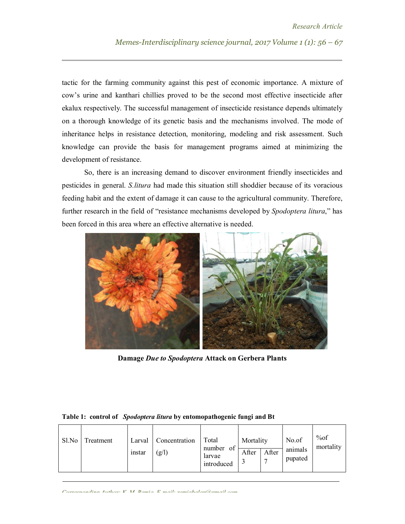tactic for the farming community against this pest of economic importance. A mixture of cow's urine and kanthari chillies proved to be the second most effective insecticide after ekalux respectively. The successful management of insecticide resistance depends ultimately on a thorough knowledge of its genetic basis and the mechanisms involved. The mode of inheritance helps in resistance detection, monitoring, modeling and risk assessment. Such knowledge can provide the basis for management programs aimed at minimizing the development of resistance.

So, there is an increasing demand to discover environment friendly insecticides and pesticides in general. *S.litura* had made this situation still shoddier because of its voracious feeding habit and the extent of damage it can cause to the agricultural community. Therefore, further research in the field of "resistance mechanisms developed by *Spodoptera litura*," has been forced in this area where an effective alternative is needed.



**Damage** *Due to Spodoptera* **Attack on Gerbera Plants**

| Sl.No | Treatment | instar | Larval   Concentration<br>(g/l) | Total<br>number of<br>larvae<br>introduced | Mortality<br>After | After | No.of<br>animals<br>pupated | %of<br>mortality |
|-------|-----------|--------|---------------------------------|--------------------------------------------|--------------------|-------|-----------------------------|------------------|
|-------|-----------|--------|---------------------------------|--------------------------------------------|--------------------|-------|-----------------------------|------------------|

## **Table 1: control of** *Spodoptera litura* **by entomopathogenic fungi and Bt**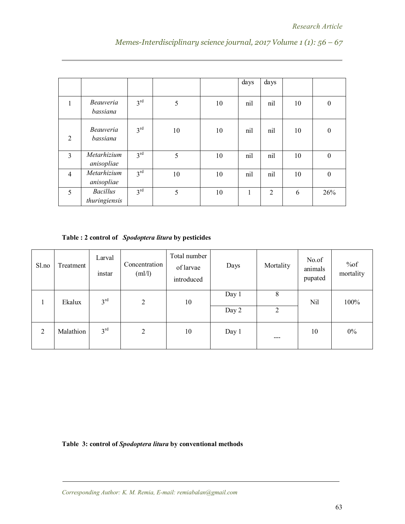|                |                                  |                 |    |    | days | days           |    |                  |
|----------------|----------------------------------|-----------------|----|----|------|----------------|----|------------------|
| 1              | <i>Beauveria</i><br>bassiana     | 3 <sup>rd</sup> | 5  | 10 | nil  | nil            | 10 | $\boldsymbol{0}$ |
| 2              | <i>Beauveria</i><br>bassiana     | 3 <sup>rd</sup> | 10 | 10 | nil  | nil            | 10 | $\boldsymbol{0}$ |
| 3              | Metarhizium<br>anisopliae        | 3 <sup>rd</sup> | 5  | 10 | nil  | nil            | 10 | $\boldsymbol{0}$ |
| $\overline{4}$ | Metarhizium<br>anisopliae        | 3 <sup>rd</sup> | 10 | 10 | nil  | nil            | 10 | $\boldsymbol{0}$ |
| 5              | <b>Bacillus</b><br>thuringiensis | 3 <sup>rd</sup> | 5  | 10 | 1    | $\overline{2}$ | 6  | 26%              |

*Memes-Interdisciplinary science journal, 2017 Volume 1 (1): 56 – 67*

**Table : 2 control of** *Spodoptera litura* **by pesticides**

| Sl.no | Treatment | Larval<br>instar | Concentration<br>(ml/l) | Total number<br>of larvae<br>introduced | Days           | Mortality | No.of<br>animals<br>pupated | %of<br>mortality |
|-------|-----------|------------------|-------------------------|-----------------------------------------|----------------|-----------|-----------------------------|------------------|
|       | Ekalux    | 3 <sup>rd</sup>  | $\overline{2}$          | 10                                      | Day 1<br>Day 2 | 8<br>2    | Nil                         | 100%             |
| 2     | Malathion | 3 <sup>rd</sup>  | $\overline{2}$          | 10                                      | Day 1          | ---       | 10                          | 0%               |

**Table 3: control of** *Spodoptera litura* **by conventional methods**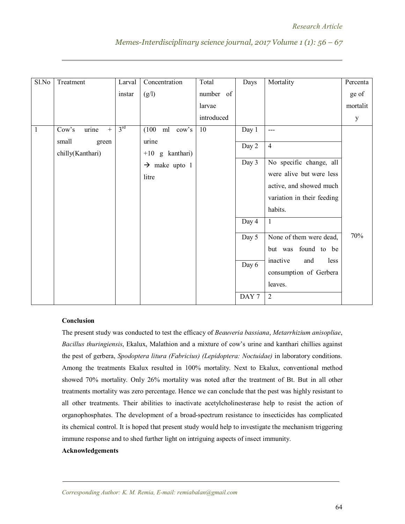| Sl.No        | Treatment                           | Larval          | Concentration              | Total      | Days  | Mortality                  | Percenta     |
|--------------|-------------------------------------|-----------------|----------------------------|------------|-------|----------------------------|--------------|
|              |                                     | instar          | (g/l)                      | number of  |       |                            | ge of        |
|              |                                     |                 |                            | larvae     |       |                            | mortalit     |
|              |                                     |                 |                            | introduced |       |                            | $\mathbf{y}$ |
| $\mathbf{1}$ | Cow's<br>urine<br>$\qquad \qquad +$ | 3 <sup>rd</sup> | (100)<br>ml cow's          | 10         | Day 1 | $---$                      |              |
|              | small<br>green<br>chilly(Kanthari)  |                 | urine<br>$+10$ g kanthari) |            | Day 2 | $\overline{4}$             |              |
|              |                                     |                 | $\rightarrow$ make upto 1  |            | Day 3 | No specific change, all    |              |
|              |                                     |                 | litre                      |            |       | were alive but were less   |              |
|              |                                     |                 |                            |            |       | active, and showed much    |              |
|              |                                     |                 |                            |            |       | variation in their feeding |              |
|              |                                     |                 |                            |            |       | habits.                    |              |
|              |                                     |                 |                            |            | Day 4 | $\mathbf{1}$               |              |
|              |                                     |                 |                            |            | Day 5 | None of them were dead,    | 70%          |
|              |                                     |                 |                            |            |       | but was found to be        |              |
|              |                                     |                 |                            |            | Day 6 | inactive<br>less<br>and    |              |
|              |                                     |                 |                            |            |       | consumption of Gerbera     |              |
|              |                                     |                 |                            |            |       | leaves.                    |              |
|              |                                     |                 |                            |            | DAY 7 | $\overline{2}$             |              |

## *Memes-Interdisciplinary science journal, 2017 Volume 1 (1): 56 – 67*

## **Conclusion**

The present study was conducted to test the efficacy of *Beauveria bassiana*, *Metarrhizium anisopliae*, *Bacillus thuringiensis*, Ekalux, Malathion and a mixture of cow's urine and kanthari chillies against the pest of gerbera, *Spodoptera litura (Fabricius) (Lepidoptera: Noctuidae)* in laboratory conditions. Among the treatments Ekalux resulted in 100% mortality. Next to Ekalux, conventional method showed 70% mortality. Only 26% mortality was noted after the treatment of Bt. But in all other treatments mortality was zero percentage. Hence we can conclude that the pest was highly resistant to all other treatments. Their abilities to inactivate acetylcholinesterase help to resist the action of organophosphates. The development of a broad-spectrum resistance to insecticides has complicated its chemical control. It is hoped that present study would help to investigate the mechanism triggering immune response and to shed further light on intriguing aspects of insect immunity.

## **Acknowledgements**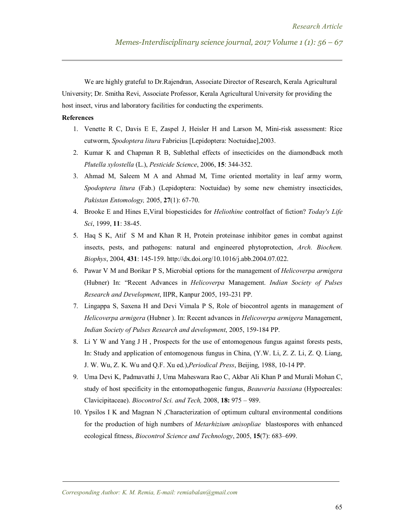We are highly grateful to Dr.Rajendran, Associate Director of Research, Kerala Agricultural University; Dr. Smitha Revi, Associate Professor, Kerala Agricultural University for providing the host insect, virus and laboratory facilities for conducting the experiments.

## **References**

- 1. Venette R C, Davis E E, Zaspel J, Heisler H and Larson M, Mini-risk assessment: Rice cutworm, *Spodoptera litura* Fabricius [Lepidoptera: Noctuidae],2003.
- 2. Kumar K and Chapman R B, Sublethal effects of insecticides on the diamondback moth *Plutella xylostella* (L.), *Pesticide Science*, 2006, **15**: 344-352.
- 3. Ahmad M, Saleem M A and Ahmad M, Time oriented mortality in leaf army worm, *Spodoptera litura* (Fab.) (Lepidoptera: Noctuidae) by some new chemistry insecticides, *Pakistan Entomology,* 2005, **27**(1): 67-70.
- 4. Brooke E and Hines E,Viral biopesticides for *Heliothine* controlfact of fiction? *Today's Life Sci*, 1999, **11**: 38-45.
- 5. Haq S K, Atif S M and Khan R H, Protein proteinase inhibitor genes in combat against insects, pests, and pathogens: natural and engineered phytoprotection, *Arch. Biochem. Biophys*, 2004, **431**: 145-159. http://dx.doi.org/10.1016/j.abb.2004.07.022.
- 6. Pawar V M and Borikar P S, Microbial options for the management of *Helicoverpa armigera*  (Hubner) In: "Recent Advances in *Helicoverpa* Management. *Indian Society of Pulses Research and Development*, IIPR, Kanpur 2005, 193-231 PP.
- 7. Lingappa S, Saxena H and Devi Vimala P S, Role of biocontrol agents in management of *Helicoverpa armigera* (Hubner ). In: Recent advances in *Helicoverpa armigera* Management, *Indian Society of Pulses Research and development*, 2005, 159-184 PP.
- 8. Li Y W and Yang J H , Prospects for the use of entomogenous fungus against forests pests, In: Study and application of entomogenous fungus in China, (Y.W. Li, Z. Z. Li, Z. Q. Liang, J. W. Wu, Z. K. Wu and Q.F. Xu ed.),*Periodical Press*, Beijing, 1988, 10-14 PP.
- 9. Uma Devi K, Padmavathi J, Uma Maheswara Rao C, Akbar Ali Khan P and Murali Mohan C, study of host specificity in the entomopathogenic fungus, *Beauveria bassiana* (Hypocreales: Clavicipitaceae). *Biocontrol Sci. and Tech,* 2008, **18:** 975 – 989.
- 10. Ypsilos I K and Magnan N ,Characterization of optimum cultural environmental conditions for the production of high numbers of *Metarhizium anisopliae* blastospores with enhanced ecological fitness, *Biocontrol Science and Technology*, 2005, **15**(7): 683–699.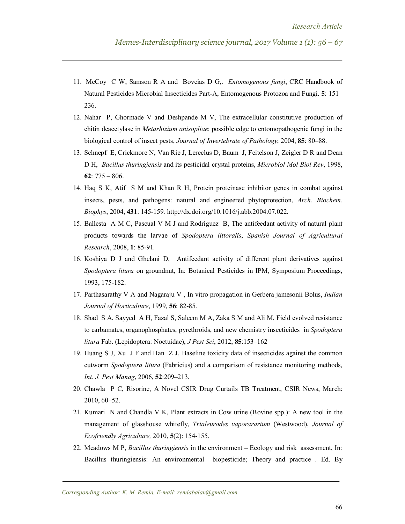- 11. McCoy C W, Samson R A and Bovcias D G,. *Entomogenous fungi*, CRC Handbook of Natural Pesticides Microbial Insecticides Part-A, Entomogenous Protozoa and Fungi. **5**: 151– 236.
- 12. Nahar P, Ghormade V and Deshpande M V, The extracellular constitutive production of chitin deacetylase in *Metarhizium anisopliae*: possible edge to entomopathogenic fungi in the biological control of insect pests, *Journal of Invertebrate of Pathology*, 2004, **85**: 80–88.
- 13. Schnepf E, Crickmore N, Van Rie J, Lereclus D, Baum J, Feitelson J, Zeigler D R and Dean D H, *Bacillus thuringiensis* and its pesticidal crystal proteins, *Microbiol Mol Biol Rev*, 1998, **62**: 775 – 806.
- 14. Haq S K, Atif S M and Khan R H, Protein proteinase inhibitor genes in combat against insects, pests, and pathogens: natural and engineered phytoprotection, *Arch. Biochem. Biophys*, 2004, **431**: 145-159. http://dx.doi.org/10.1016/j.abb.2004.07.022.
- 15. Ballesta A M C, Pascual V M J and Rodríguez B, The antifeedant activity of natural plant products towards the larvae of *Spodoptera littoralis*, *Spanish Journal of Agricultural Research*, 2008, **1**: 85-91.
- 16. Koshiya D J and Ghelani D, Antifeedant activity of different plant derivatives against *Spodoptera litura* on groundnut, In: Botanical Pesticides in IPM, Symposium Proceedings, 1993, 175-182.
- 17. Parthasarathy V A and Nagaraju V , In vitro propagation in Gerbera jamesonii Bolus, *Indian Journal of Horticulture*, 1999, **56**: 82-85.
- 18. Shad S A, Sayyed A H, Fazal S, Saleem M A, Zaka S M and Ali M, Field evolved resistance to carbamates, organophosphates, pyrethroids, and new chemistry insecticides in *Spodoptera litura* Fab. (Lepidoptera: Noctuidae), *J Pest Sci*, 2012, **85**:153–162
- 19. Huang S J, Xu J F and Han Z J, Baseline toxicity data of insecticides against the common cutworm *Spodoptera litura* (Fabricius) and a comparison of resistance monitoring methods, *Int. J. Pest Manag*, 2006, **52**:209–213.
- 20. Chawla P C, Risorine, A Novel CSIR Drug Curtails TB Treatment, CSIR News, March: 2010, 60–52.
- 21. Kumari N and Chandla V K, Plant extracts in Cow urine (Bovine spp.): A new tool in the management of glasshouse whitefly, *Trialeurodes vaporararium* (Westwood), *Journal of Ecofriendly Agriculture,* 2010, **5**(2): 154-155.
- 22. Meadows M P, *Bacillus thuringiensis* in the environment Ecology and risk assessment, In: Bacillus thuringiensis: An environmental biopesticide; Theory and practice . Ed. By